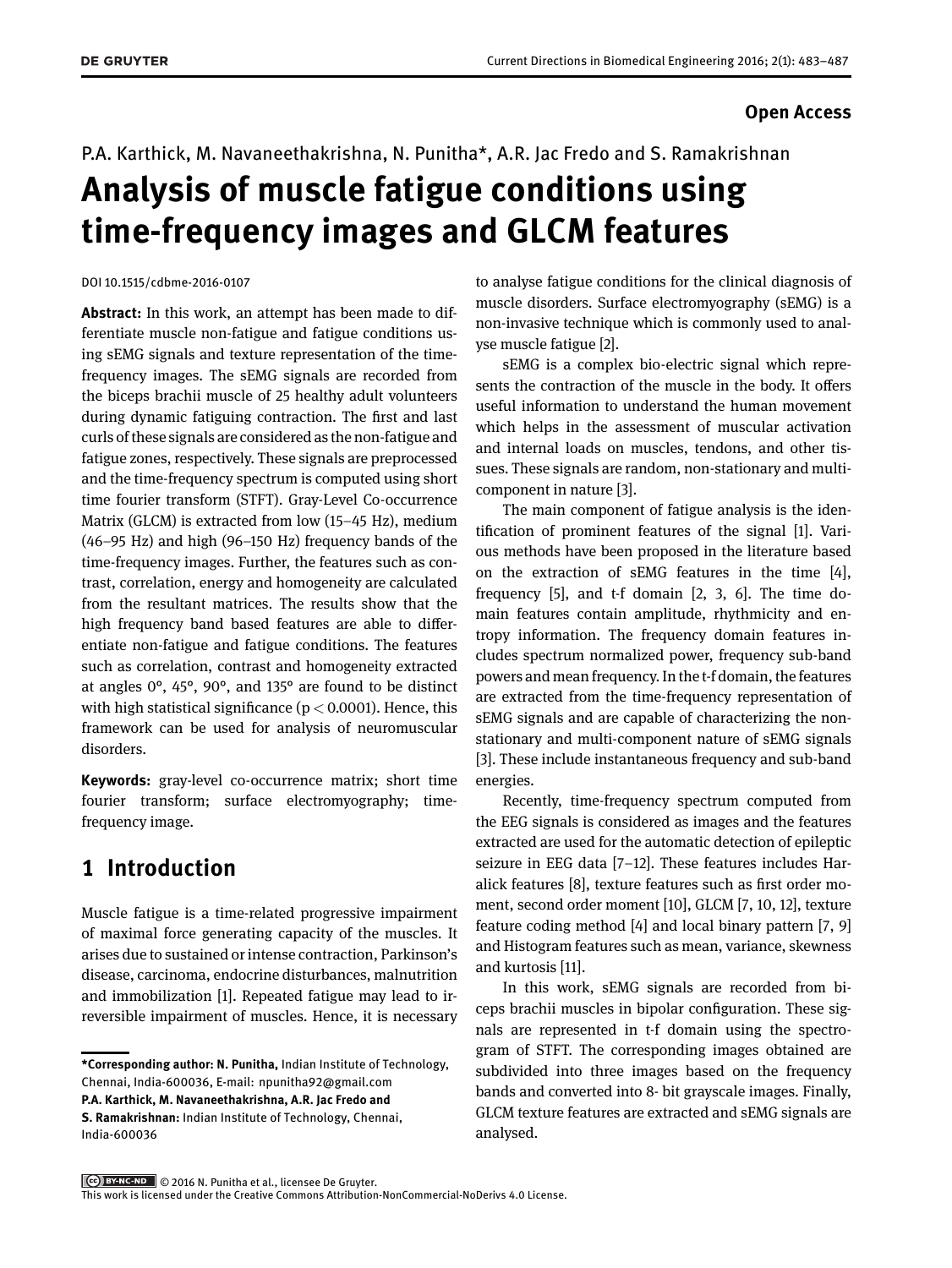#### **Open Access**

#### P.A. Karthick, M. Navaneethakrishna, N. Punitha\*, A.R. Jac Fredo and S. Ramakrishnan

# **Analysis of muscle fatigue conditions using time-frequency images and GLCM features**

DOI 10.1515/cdbme-2016-0107

**Abstract:** In this work, an attempt has been made to differentiate muscle non-fatigue and fatigue conditions using sEMG signals and texture representation of the timefrequency images. The sEMG signals are recorded from the biceps brachii muscle of 25 healthy adult volunteers during dynamic fatiguing contraction. The first and last curls of these signals are considered as the non-fatigue and fatigue zones, respectively. These signals are preprocessed and the time-frequency spectrum is computed using short time fourier transform (STFT). Gray-Level Co-occurrence Matrix (GLCM) is extracted from low (15–45 Hz), medium (46–95 Hz) and high (96–150 Hz) frequency bands of the time-frequency images. Further, the features such as contrast, correlation, energy and homogeneity are calculated from the resultant matrices. The results show that the high frequency band based features are able to differentiate non-fatigue and fatigue conditions. The features such as correlation, contrast and homogeneity extracted at angles 0°, 45°, 90°, and 135° are found to be distinct with high statistical significance ( $p < 0.0001$ ). Hence, this framework can be used for analysis of neuromuscular disorders.

**Keywords:** gray-level co-occurrence matrix; short time fourier transform; surface electromyography; timefrequency image.

## **1 Introduction**

Muscle fatigue is a time-related progressive impairment of maximal force generating capacity of the muscles. It arises due to sustained or intense contraction, Parkinson's disease, carcinoma, endocrine disturbances, malnutrition and immobilization [\[1\]](#page-3-0). Repeated fatigue may lead to irreversible impairment of muscles. Hence, it is necessary to analyse fatigue conditions for the clinical diagnosis of muscle disorders. Surface electromyography (sEMG) is a non-invasive technique which is commonly used to analyse muscle fatigue [\[2\]](#page-3-1).

sEMG is a complex bio-electric signal which represents the contraction of the muscle in the body. It offers useful information to understand the human movement which helps in the assessment of muscular activation and internal loads on muscles, tendons, and other tissues. These signals are random, non-stationary and multicomponent in nature [\[3\]](#page-3-2).

The main component of fatigue analysis is the identification of prominent features of the signal [\[1\]](#page-3-0). Various methods have been proposed in the literature based on the extraction of sEMG features in the time [\[4\]](#page-3-3), frequency [\[5\]](#page-3-4), and t-f domain [\[2,](#page-3-1) [3,](#page-3-2) [6\]](#page-3-5). The time domain features contain amplitude, rhythmicity and entropy information. The frequency domain features includes spectrum normalized power, frequency sub-band powers and mean frequency. In the t-f domain, the features are extracted from the time-frequency representation of sEMG signals and are capable of characterizing the nonstationary and multi-component nature of sEMG signals [\[3\]](#page-3-2). These include instantaneous frequency and sub-band energies.

Recently, time-frequency spectrum computed from the EEG signals is considered as images and the features extracted are used for the automatic detection of epileptic seizure in EEG data [\[7](#page-3-6)[–12\]](#page-4-1). These features includes Haralick features [\[8\]](#page-3-7), texture features such as first order moment, second order moment [\[10\]](#page-4-2), GLCM [\[7,](#page-3-6) [10,](#page-4-2) [12\]](#page-4-1), texture feature coding method [\[4\]](#page-3-3) and local binary pattern [\[7,](#page-3-6) [9\]](#page-4-3) and Histogram features such as mean, variance, skewness and kurtosis [\[11\]](#page-4-4).

In this work, sEMG signals are recorded from biceps brachii muscles in bipolar configuration. These signals are represented in t-f domain using the spectrogram of STFT. The corresponding images obtained are subdivided into three images based on the frequency bands and converted into 8- bit grayscale images. Finally, GLCM texture features are extracted and sEMG signals are analysed.

**<sup>\*</sup>Corresponding author: N. Punitha,** Indian Institute of Technology, Chennai, India-600036, E-mail: [npunitha92@gmail.com](mailto:npunitha92@gmail.com) **P.A. Karthick, M. Navaneethakrishna, A.R. Jac Fredo and**

**S. Ramakrishnan:** Indian Institute of Technology, Chennai, India-600036

<sup>©</sup> 2016 N. Punitha et al., licensee De Gruyter.

This work is licensed under the Creative Commons Attribution-NonCommercial-NoDerivs 4.0 License.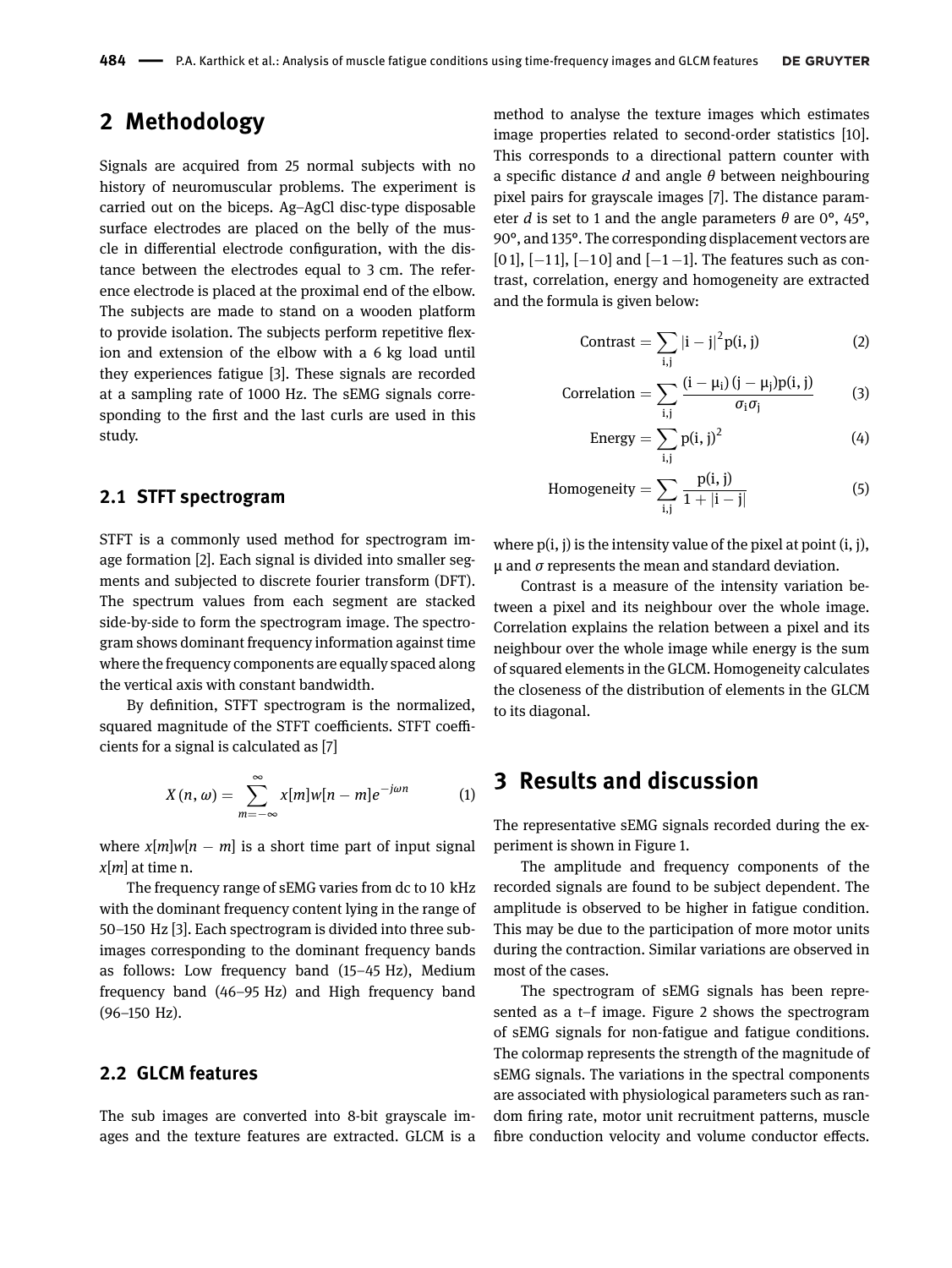# **2 Methodology**

Signals are acquired from 25 normal subjects with no history of neuromuscular problems. The experiment is carried out on the biceps. Ag–AgCl disc-type disposable surface electrodes are placed on the belly of the muscle in differential electrode configuration, with the distance between the electrodes equal to 3 cm. The reference electrode is placed at the proximal end of the elbow. The subjects are made to stand on a wooden platform to provide isolation. The subjects perform repetitive flexion and extension of the elbow with a 6 kg load until they experiences fatigue [\[3\]](#page-3-2). These signals are recorded at a sampling rate of 1000 Hz. The sEMG signals corresponding to the first and the last curls are used in this study.

#### **2.1 STFT spectrogram**

STFT is a commonly used method for spectrogram image formation [\[2\]](#page-3-1). Each signal is divided into smaller segments and subjected to discrete fourier transform (DFT). The spectrum values from each segment are stacked side-by-side to form the spectrogram image. The spectrogram shows dominant frequency information against time where the frequency components are equally spaced along the vertical axis with constant bandwidth.

By definition, STFT spectrogram is the normalized, squared magnitude of the STFT coefficients. STFT coefficients for a signal is calculated as [\[7\]](#page-3-6)

$$
X(n,\omega) = \sum_{m=-\infty}^{\infty} x[m]w[n-m]e^{-j\omega n}
$$
 (1)

where  $x[m]w[n-m]$  is a short time part of input signal *x*[*m*] at time n.

The frequency range of sEMG varies from dc to 10 kHz with the dominant frequency content lying in the range of 50–150 Hz [\[3\]](#page-3-2). Each spectrogram is divided into three subimages corresponding to the dominant frequency bands as follows: Low frequency band (15–45 Hz), Medium frequency band (46–95 Hz) and High frequency band (96–150 Hz).

#### **2.2 GLCM features**

The sub images are converted into 8-bit grayscale images and the texture features are extracted. GLCM is a

method to analyse the texture images which estimates image properties related to second-order statistics [\[10\]](#page-4-2). This corresponds to a directional pattern counter with a specific distance *d* and angle *θ* between neighbouring pixel pairs for grayscale images [\[7\]](#page-3-6). The distance parameter *d* is set to 1 and the angle parameters *θ* are 0°, 45°, 90°, and 135°. The corresponding displacement vectors are [0 1],  $[-11]$ ,  $[-10]$  and  $[-1-1]$ . The features such as contrast, correlation, energy and homogeneity are extracted and the formula is given below:

$$
Contrast = \sum_{i,j} |i - j|^2 p(i,j)
$$
 (2)

Correlation = 
$$
\sum_{i,i} \frac{(i - \mu_i)(j - \mu_j)p(i, j)}{\sigma_i \sigma_j}
$$
 (3)

Energy = 
$$
\sum_{i,j} p(i,j)^2
$$
 (4)

Homogeneity = 
$$
\sum_{i,j} \frac{p(i,j)}{1+|i-j|}
$$
 (5)

where  $p(i, j)$  is the intensity value of the pixel at point  $(i, j)$ , µ and *σ* represents the mean and standard deviation.

Contrast is a measure of the intensity variation between a pixel and its neighbour over the whole image. Correlation explains the relation between a pixel and its neighbour over the whole image while energy is the sum of squared elements in the GLCM. Homogeneity calculates the closeness of the distribution of elements in the GLCM to its diagonal.

### **3 Results and discussion**

The representative sEMG signals recorded during the experiment is shown in [Figure 1.](#page-2-0)

The amplitude and frequency components of the recorded signals are found to be subject dependent. The amplitude is observed to be higher in fatigue condition. This may be due to the participation of more motor units during the contraction. Similar variations are observed in most of the cases.

The spectrogram of sEMG signals has been represented as a t–f image. [Figure 2](#page-2-1) shows the spectrogram of sEMG signals for non-fatigue and fatigue conditions. The colormap represents the strength of the magnitude of sEMG signals. The variations in the spectral components are associated with physiological parameters such as random firing rate, motor unit recruitment patterns, muscle fibre conduction velocity and volume conductor effects.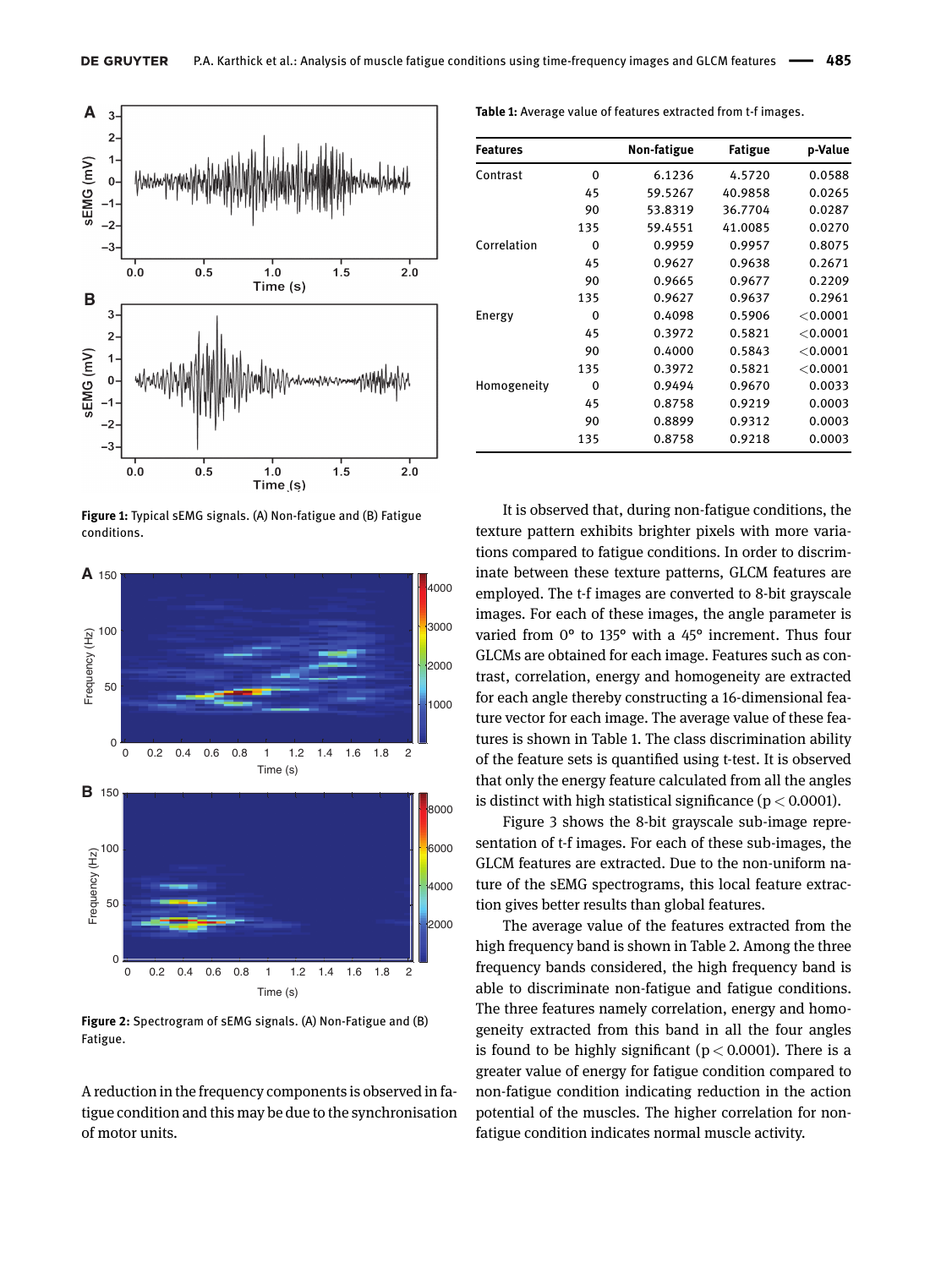<span id="page-2-0"></span>

**Figure 1:** Typical sEMG signals. (A) Non-fatigue and (B) Fatigue conditions.

<span id="page-2-1"></span>

**Figure 2:** Spectrogram of sEMG signals. (A) Non-Fatigue and (B) Fatigue.

A reduction in the frequency components is observed in fatigue condition and this may be due to the synchronisation of motor units.

<span id="page-2-2"></span>**Table 1:** Average value of features extracted from t-f images.

| <b>Features</b> |     | Non-fatigue | <b>Fatigue</b> | p-Value    |
|-----------------|-----|-------------|----------------|------------|
| Contrast        | 0   | 6.1236      | 4.5720         | 0.0588     |
|                 | 45  | 59.5267     | 40.9858        | 0.0265     |
|                 | 90  | 53.8319     | 36.7704        | 0.0287     |
|                 | 135 | 59.4551     | 41.0085        | 0.0270     |
| Correlation     | 0   | 0.9959      | 0.9957         | 0.8075     |
|                 | 45  | 0.9627      | 0.9638         | 0.2671     |
|                 | 90  | 0.9665      | 0.9677         | 0.2209     |
|                 | 135 | 0.9627      | 0.9637         | 0.2961     |
| Energy          | 0   | 0.4098      | 0.5906         | < 0.0001   |
|                 | 45  | 0.3972      | 0.5821         | $<$ 0.0001 |
|                 | 90  | 0.4000      | 0.5843         | $<$ 0.0001 |
|                 | 135 | 0.3972      | 0.5821         | $<$ 0.0001 |
| Homogeneity     | 0   | 0.9494      | 0.9670         | 0.0033     |
|                 | 45  | 0.8758      | 0.9219         | 0.0003     |
|                 | 90  | 0.8899      | 0.9312         | 0.0003     |
|                 | 135 | 0.8758      | 0.9218         | 0.0003     |

It is observed that, during non-fatigue conditions, the texture pattern exhibits brighter pixels with more variations compared to fatigue conditions. In order to discriminate between these texture patterns, GLCM features are employed. The t-f images are converted to 8-bit grayscale images. For each of these images, the angle parameter is varied from 0° to 135° with a 45° increment. Thus four GLCMs are obtained for each image. Features such as contrast, correlation, energy and homogeneity are extracted for each angle thereby constructing a 16-dimensional feature vector for each image. The average value of these features is shown in [Table 1.](#page-2-2) The class discrimination ability of the feature sets is quantified using t-test. It is observed that only the energy feature calculated from all the angles is distinct with high statistical significance ( $p < 0.0001$ ).

[Figure 3](#page-3-8) shows the 8-bit grayscale sub-image representation of t-f images. For each of these sub-images, the GLCM features are extracted. Due to the non-uniform nature of the sEMG spectrograms, this local feature extraction gives better results than global features.

The average value of the features extracted from the high frequency band is shown in [Table 2.](#page-3-9) Among the three frequency bands considered, the high frequency band is able to discriminate non-fatigue and fatigue conditions. The three features namely correlation, energy and homogeneity extracted from this band in all the four angles is found to be highly significant ( $p < 0.0001$ ). There is a greater value of energy for fatigue condition compared to non-fatigue condition indicating reduction in the action potential of the muscles. The higher correlation for nonfatigue condition indicates normal muscle activity.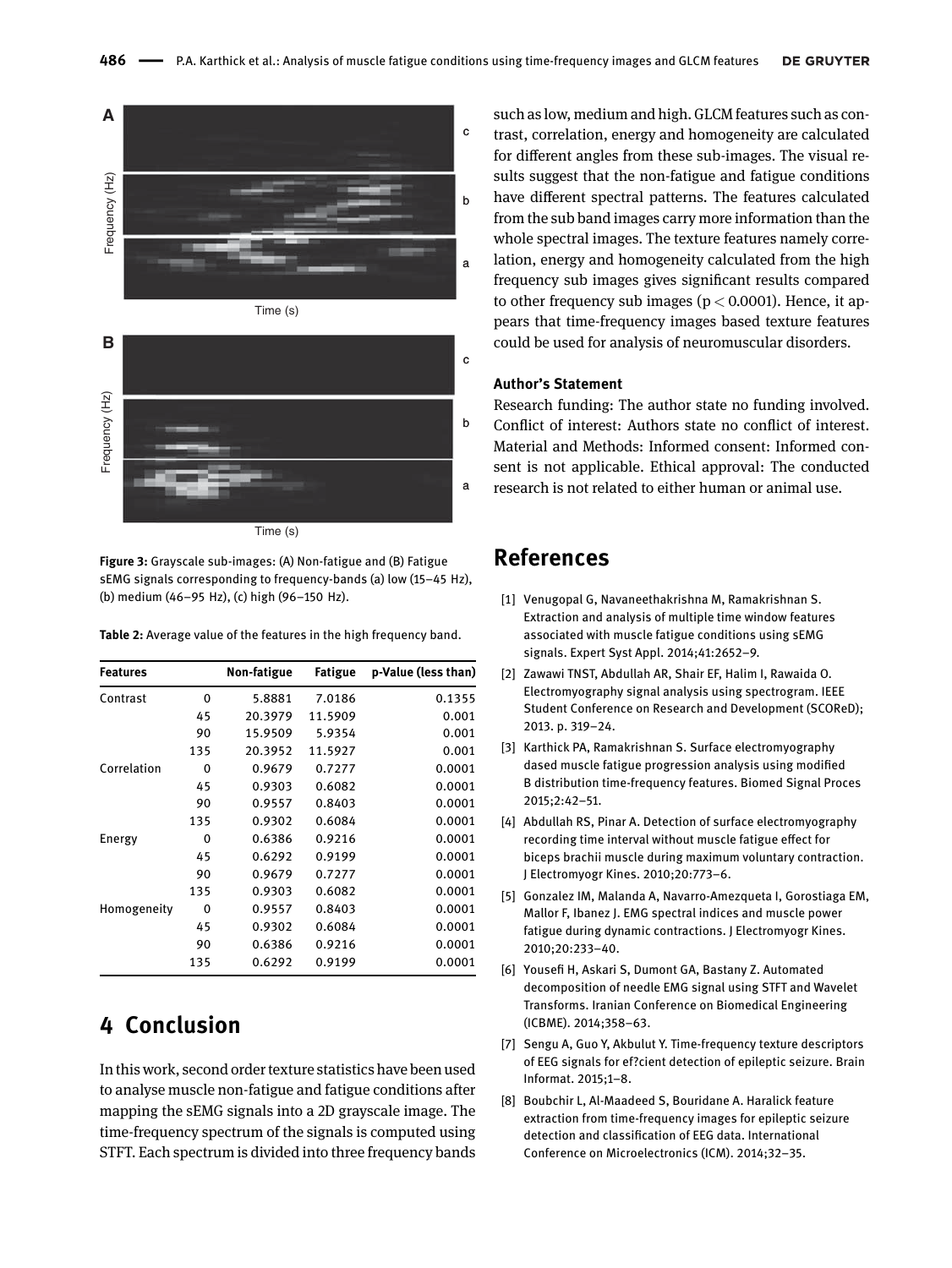<span id="page-3-8"></span>



**Figure 3:** Grayscale sub-images: (A) Non-fatigue and (B) Fatigue sEMG signals corresponding to frequency-bands (a) low (15–45 Hz), (b) medium (46–95 Hz), (c) high (96–150 Hz).

<span id="page-3-9"></span>**Table 2:** Average value of the features in the high frequency band.

| <b>Features</b> |     | Non-fatigue | <b>Fatigue</b> | p-Value (less than) |
|-----------------|-----|-------------|----------------|---------------------|
| Contrast        | 0   | 5.8881      | 7.0186         | 0.1355              |
|                 | 45  | 20.3979     | 11.5909        | 0.001               |
|                 | 90  | 15.9509     | 5.9354         | 0.001               |
|                 | 135 | 20.3952     | 11.5927        | 0.001               |
| Correlation     | 0   | 0.9679      | 0.7277         | 0.0001              |
|                 | 45  | 0.9303      | 0.6082         | 0.0001              |
|                 | 90  | 0.9557      | 0.8403         | 0.0001              |
|                 | 135 | 0.9302      | 0.6084         | 0.0001              |
| Energy          | 0   | 0.6386      | 0.9216         | 0.0001              |
|                 | 45  | 0.6292      | 0.9199         | 0.0001              |
|                 | 90  | 0.9679      | 0.7277         | 0.0001              |
|                 | 135 | 0.9303      | 0.6082         | 0.0001              |
| Homogeneity     | 0   | 0.9557      | 0.8403         | 0.0001              |
|                 | 45  | 0.9302      | 0.6084         | 0.0001              |
|                 | 90  | 0.6386      | 0.9216         | 0.0001              |
|                 | 135 | 0.6292      | 0.9199         | 0.0001              |

# **4 Conclusion**

In this work, second order texture statistics have been used to analyse muscle non-fatigue and fatigue conditions after mapping the sEMG signals into a 2D grayscale image. The time-frequency spectrum of the signals is computed using STFT. Each spectrum is divided into three frequency bands

such as low, medium and high. GLCM features such as contrast, correlation, energy and homogeneity are calculated for different angles from these sub-images. The visual results suggest that the non-fatigue and fatigue conditions have different spectral patterns. The features calculated from the sub band images carry more information than the whole spectral images. The texture features namely correlation, energy and homogeneity calculated from the high frequency sub images gives significant results compared to other frequency sub images ( $p < 0.0001$ ). Hence, it appears that time-frequency images based texture features could be used for analysis of neuromuscular disorders.

#### **Author's Statement**

Research funding: The author state no funding involved. Conflict of interest: Authors state no conflict of interest. Material and Methods: Informed consent: Informed consent is not applicable. Ethical approval: The conducted research is not related to either human or animal use.

## **References**

- <span id="page-3-0"></span>[1] Venugopal G, Navaneethakrishna M, Ramakrishnan S. Extraction and analysis of multiple time window features associated with muscle fatigue conditions using sEMG signals. Expert Syst Appl. 2014;41:2652–9.
- <span id="page-3-1"></span>[2] Zawawi TNST, Abdullah AR, Shair EF, Halim I, Rawaida O. Electromyography signal analysis using spectrogram. IEEE Student Conference on Research and Development (SCOReD); 2013. p. 319–24.
- <span id="page-3-2"></span>[3] Karthick PA, Ramakrishnan S. Surface electromyography dased muscle fatigue progression analysis using modified B distribution time-frequency features. Biomed Signal Proces 2015;2:42–51.
- <span id="page-3-3"></span>[4] Abdullah RS, Pinar A. Detection of surface electromyography recording time interval without muscle fatigue effect for biceps brachii muscle during maximum voluntary contraction. J Electromyogr Kines. 2010;20:773–6.
- <span id="page-3-4"></span>[5] Gonzalez IM, Malanda A, Navarro-Amezqueta I, Gorostiaga EM, Mallor F, Ibanez J. EMG spectral indices and muscle power fatigue during dynamic contractions. J Electromyogr Kines. 2010;20:233–40.
- <span id="page-3-5"></span>[6] Yousefi H, Askari S, Dumont GA, Bastany Z. Automated decomposition of needle EMG signal using STFT and Wavelet Transforms. Iranian Conference on Biomedical Engineering (ICBME). 2014;358–63.
- <span id="page-3-6"></span>[7] Sengu A, Guo Y, Akbulut Y. Time-frequency texture descriptors of EEG signals for ef?cient detection of epileptic seizure. Brain Informat. 2015;1–8.
- <span id="page-3-7"></span>[8] Boubchir L, Al-Maadeed S, Bouridane A. Haralick feature extraction from time-frequency images for epileptic seizure detection and classification of EEG data. International Conference on Microelectronics (ICM). 2014;32–35.